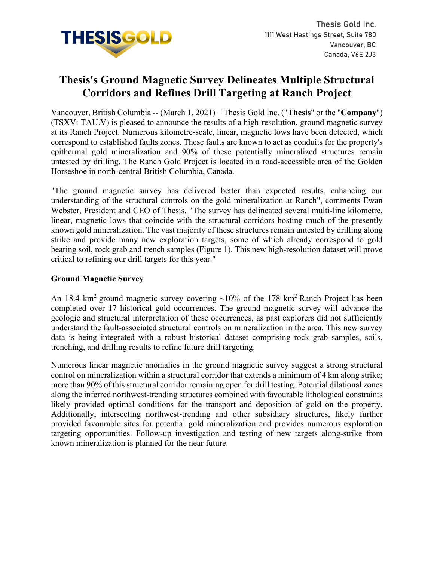

# **Thesis's Ground Magnetic Survey Delineates Multiple Structural Corridors and Refines Drill Targeting at Ranch Project**

Vancouver, British Columbia -- (March 1, 2021) – Thesis Gold Inc. ("**Thesis**" or the "**Company**") (TSXV: TAU.V) is pleased to announce the results of a high-resolution, ground magnetic survey at its Ranch Project. Numerous kilometre-scale, linear, magnetic lows have been detected, which correspond to established faults zones. These faults are known to act as conduits for the property's epithermal gold mineralization and 90% of these potentially mineralized structures remain untested by drilling. The Ranch Gold Project is located in a road-accessible area of the Golden Horseshoe in north-central British Columbia, Canada.

"The ground magnetic survey has delivered better than expected results, enhancing our understanding of the structural controls on the gold mineralization at Ranch", comments Ewan Webster, President and CEO of Thesis. "The survey has delineated several multi-line kilometre, linear, magnetic lows that coincide with the structural corridors hosting much of the presently known gold mineralization. The vast majority of these structures remain untested by drilling along strike and provide many new exploration targets, some of which already correspond to gold bearing soil, rock grab and trench samples (Figure 1). This new high-resolution dataset will prove critical to refining our drill targets for this year."

## **Ground Magnetic Survey**

An 18.4 km<sup>2</sup> ground magnetic survey covering  $\sim$ 10% of the 178 km<sup>2</sup> Ranch Project has been completed over 17 historical gold occurrences. The ground magnetic survey will advance the geologic and structural interpretation of these occurrences, as past explorers did not sufficiently understand the fault-associated structural controls on mineralization in the area. This new survey data is being integrated with a robust historical dataset comprising rock grab samples, soils, trenching, and drilling results to refine future drill targeting.

Numerous linear magnetic anomalies in the ground magnetic survey suggest a strong structural control on mineralization within a structural corridor that extends a minimum of 4 km along strike; more than 90% of this structural corridor remaining open for drill testing. Potential dilational zones along the inferred northwest-trending structures combined with favourable lithological constraints likely provided optimal conditions for the transport and deposition of gold on the property. Additionally, intersecting northwest-trending and other subsidiary structures, likely further provided favourable sites for potential gold mineralization and provides numerous exploration targeting opportunities. Follow-up investigation and testing of new targets along-strike from known mineralization is planned for the near future.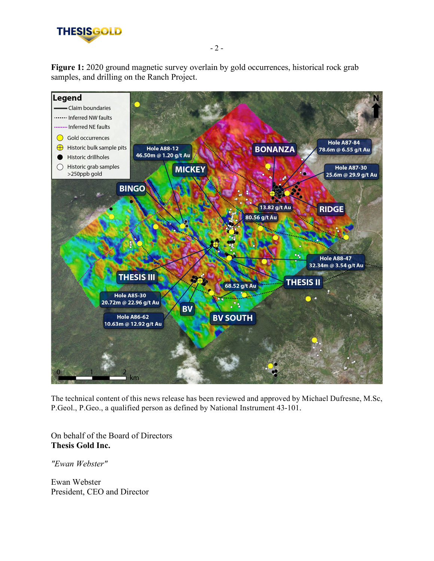

**Figure 1:** 2020 ground magnetic survey overlain by gold occurrences, historical rock grab samples, and drilling on the Ranch Project.



The technical content of this news release has been reviewed and approved by Michael Dufresne, M.Sc, P.Geol., P.Geo., a qualified person as defined by National Instrument 43-101.

On behalf of the Board of Directors **Thesis Gold Inc.**

*"Ewan Webster"*

Ewan Webster President, CEO and Director - 2 -